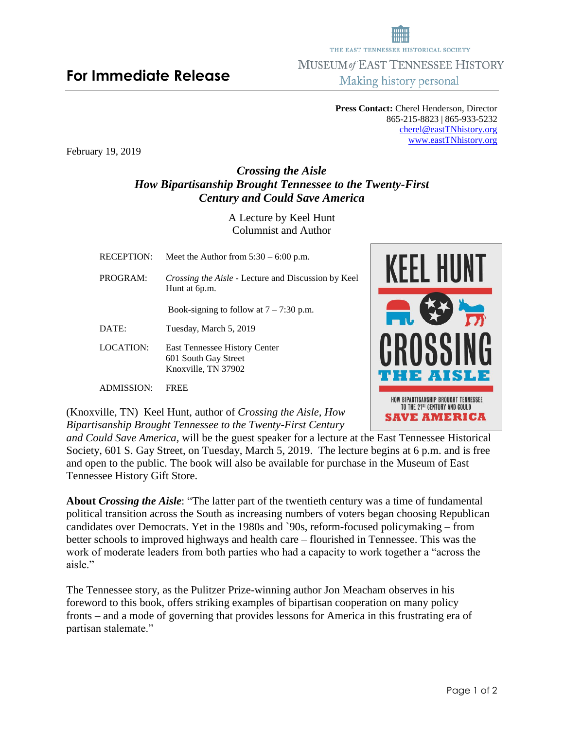## **For Immediate Release**

**Press Contact:** Cherel Henderson, Director 865-215-8823 | 865-933-5232 [cherel@eastTNhistory.org](mailto:cherel@eastTNhistory.org) [www.eastTNhistory.org](http://www.easttnhistory.org/)

February 19, 2019

## *Crossing the Aisle How Bipartisanship Brought Tennessee to the Twenty-First Century and Could Save America*

A Lecture by Keel Hunt Columnist and Author

| <b>RECEPTION:</b> | Meet the Author from $5:30 - 6:00$ p.m.                                             |  |
|-------------------|-------------------------------------------------------------------------------------|--|
| PROGRAM:          | <i>Crossing the Aisle - Lecture and Discussion by Keel</i><br>Hunt at 6p.m.         |  |
|                   | Book-signing to follow at $7 - 7:30$ p.m.                                           |  |
| DATE:             | Tuesday, March 5, 2019                                                              |  |
| <b>LOCATION:</b>  | <b>East Tennessee History Center</b><br>601 South Gay Street<br>Knoxville, TN 37902 |  |
| ADMISSION:        | FREE                                                                                |  |

(Knoxville, TN) Keel Hunt, author of *Crossing the Aisle, How Bipartisanship Brought Tennessee to the Twenty-First Century* 

*and Could Save America,* will be the guest speaker for a lecture at the East Tennessee Historical Society, 601 S. Gay Street, on Tuesday, March 5, 2019. The lecture begins at 6 p.m. and is free and open to the public. The book will also be available for purchase in the Museum of East Tennessee History Gift Store.

**About** *Crossing the Aisle*: "The latter part of the twentieth century was a time of fundamental political transition across the South as increasing numbers of voters began choosing Republican candidates over Democrats. Yet in the 1980s and `90s, reform-focused policymaking – from better schools to improved highways and health care – flourished in Tennessee. This was the work of moderate leaders from both parties who had a capacity to work together a "across the aisle."

The Tennessee story, as the Pulitzer Prize-winning author Jon Meacham observes in his foreword to this book, offers striking examples of bipartisan cooperation on many policy fronts – and a mode of governing that provides lessons for America in this frustrating era of partisan stalemate."





MUSEUM of EAST TENNESSEE HISTORY Making history personal

THE EAST TENNESSEE HISTORICAL SOCIETY